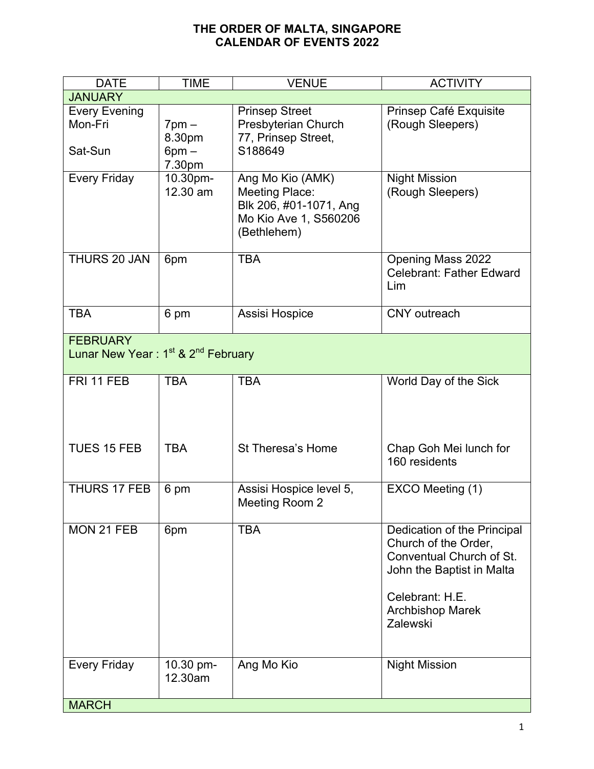## **THE ORDER OF MALTA, SINGAPORE CALENDAR OF EVENTS 2022**

| <b>DATE</b>                                                                   | <b>TIME</b>                                  | <b>VENUE</b>                                                                                                | <b>ACTIVITY</b>                                                                                                                                                        |
|-------------------------------------------------------------------------------|----------------------------------------------|-------------------------------------------------------------------------------------------------------------|------------------------------------------------------------------------------------------------------------------------------------------------------------------------|
| <b>JANUARY</b>                                                                |                                              |                                                                                                             |                                                                                                                                                                        |
| <b>Every Evening</b><br>Mon-Fri<br>Sat-Sun                                    | $7$ pm $-$<br>8.30pm<br>$6$ pm $-$<br>7.30pm | <b>Prinsep Street</b><br>Presbyterian Church<br>77, Prinsep Street,<br>S188649                              | Prinsep Café Exquisite<br>(Rough Sleepers)                                                                                                                             |
| Every Friday                                                                  | 10.30pm-<br>12.30 am                         | Ang Mo Kio (AMK)<br><b>Meeting Place:</b><br>Blk 206, #01-1071, Ang<br>Mo Kio Ave 1, S560206<br>(Bethlehem) | <b>Night Mission</b><br>(Rough Sleepers)                                                                                                                               |
| THURS 20 JAN                                                                  | 6pm                                          | <b>TBA</b>                                                                                                  | <b>Opening Mass 2022</b><br><b>Celebrant: Father Edward</b><br>Lim                                                                                                     |
| <b>TBA</b>                                                                    | 6 pm                                         | Assisi Hospice                                                                                              | <b>CNY</b> outreach                                                                                                                                                    |
| <b>FEBRUARY</b><br>Lunar New Year: 1 <sup>st</sup> & 2 <sup>nd</sup> February |                                              |                                                                                                             |                                                                                                                                                                        |
| FRI 11 FEB                                                                    | <b>TBA</b>                                   | <b>TBA</b>                                                                                                  | World Day of the Sick                                                                                                                                                  |
| <b>TUES 15 FEB</b>                                                            | <b>TBA</b>                                   | St Theresa's Home                                                                                           | Chap Goh Mei lunch for<br>160 residents                                                                                                                                |
| THURS 17 FEB                                                                  | 6 pm                                         | Assisi Hospice level 5,<br>Meeting Room 2                                                                   | EXCO Meeting (1)                                                                                                                                                       |
| MON 21 FEB                                                                    | 6pm                                          | <b>TBA</b>                                                                                                  | Dedication of the Principal<br>Church of the Order,<br>Conventual Church of St.<br>John the Baptist in Malta<br>Celebrant: H.E.<br><b>Archbishop Marek</b><br>Zalewski |
| Every Friday                                                                  | 10.30 pm-<br>12.30am                         | Ang Mo Kio                                                                                                  | <b>Night Mission</b>                                                                                                                                                   |
| <b>MARCH</b>                                                                  |                                              |                                                                                                             |                                                                                                                                                                        |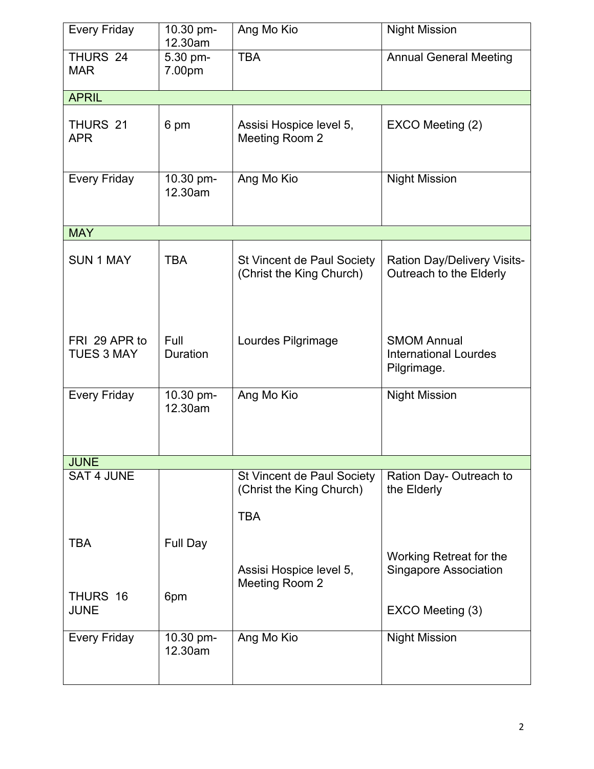| Every Friday                       | 10.30 pm-<br>12.30am | Ang Mo Kio                                                           | <b>Night Mission</b>                                              |
|------------------------------------|----------------------|----------------------------------------------------------------------|-------------------------------------------------------------------|
| THURS 24<br><b>MAR</b>             | 5.30 pm-<br>7.00pm   | <b>TBA</b>                                                           | <b>Annual General Meeting</b>                                     |
| <b>APRIL</b>                       |                      |                                                                      |                                                                   |
| THURS 21<br><b>APR</b>             | 6 pm                 | Assisi Hospice level 5,<br>Meeting Room 2                            | EXCO Meeting (2)                                                  |
| Every Friday                       | 10.30 pm-<br>12.30am | Ang Mo Kio                                                           | <b>Night Mission</b>                                              |
| <b>MAY</b>                         |                      |                                                                      |                                                                   |
| <b>SUN 1 MAY</b>                   | <b>TBA</b>           | <b>St Vincent de Paul Society</b><br>(Christ the King Church)        | <b>Ration Day/Delivery Visits-</b><br>Outreach to the Elderly     |
| FRI 29 APR to<br><b>TUES 3 MAY</b> | Full<br>Duration     | Lourdes Pilgrimage                                                   | <b>SMOM Annual</b><br><b>International Lourdes</b><br>Pilgrimage. |
| <b>Every Friday</b>                | 10.30 pm-<br>12.30am | Ang Mo Kio                                                           | <b>Night Mission</b>                                              |
| <b>JUNE</b>                        |                      |                                                                      |                                                                   |
| <b>SAT 4 JUNE</b>                  |                      | St Vincent de Paul Society<br>(Christ the King Church)<br><b>TBA</b> | Ration Day- Outreach to<br>the Elderly                            |
| TBA                                | Full Day             | Assisi Hospice level 5,<br>Meeting Room 2                            | Working Retreat for the<br><b>Singapore Association</b>           |
| THURS 16<br>JUNE                   | 6pm                  |                                                                      | EXCO Meeting (3)                                                  |
| Every Friday                       | 10.30 pm-<br>12.30am | Ang Mo Kio                                                           | <b>Night Mission</b>                                              |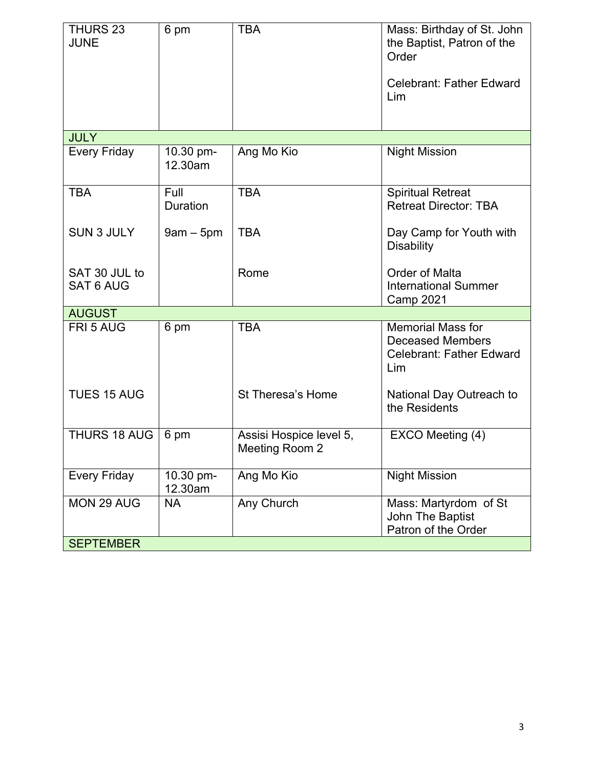| THURS 23<br><b>JUNE</b>           | 6 pm                 | <b>TBA</b>                                | Mass: Birthday of St. John<br>the Baptist, Patron of the<br>Order                             |
|-----------------------------------|----------------------|-------------------------------------------|-----------------------------------------------------------------------------------------------|
|                                   |                      |                                           | <b>Celebrant: Father Edward</b><br>Lim                                                        |
| <b>JULY</b>                       |                      |                                           |                                                                                               |
| Every Friday                      | 10.30 pm-<br>12.30am | Ang Mo Kio                                | <b>Night Mission</b>                                                                          |
| <b>TBA</b>                        | Full<br>Duration     | <b>TBA</b>                                | <b>Spiritual Retreat</b><br><b>Retreat Director: TBA</b>                                      |
| <b>SUN 3 JULY</b>                 | $9am - 5pm$          | <b>TBA</b>                                | Day Camp for Youth with<br><b>Disability</b>                                                  |
| SAT 30 JUL to<br><b>SAT 6 AUG</b> |                      | Rome                                      | Order of Malta<br><b>International Summer</b><br><b>Camp 2021</b>                             |
| <b>AUGUST</b>                     |                      |                                           |                                                                                               |
| FRI 5 AUG                         | 6 pm                 | <b>TBA</b>                                | <b>Memorial Mass for</b><br><b>Deceased Members</b><br><b>Celebrant: Father Edward</b><br>Lim |
| <b>TUES 15 AUG</b>                |                      | St Theresa's Home                         | National Day Outreach to<br>the Residents                                                     |
| THURS 18 AUG                      | 6 pm                 | Assisi Hospice level 5,<br>Meeting Room 2 | EXCO Meeting (4)                                                                              |
| <b>Every Friday</b>               | 10.30 pm-<br>12.30am | Ang Mo Kio                                | <b>Night Mission</b>                                                                          |
| MON 29 AUG                        | <b>NA</b>            | Any Church                                | Mass: Martyrdom of St<br>John The Baptist<br>Patron of the Order                              |
| <b>SEPTEMBER</b>                  |                      |                                           |                                                                                               |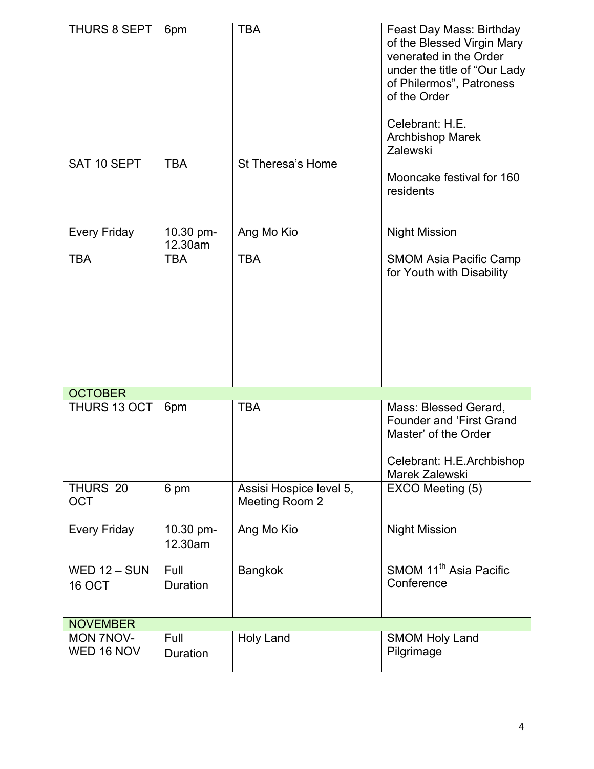| THURS 8 SEPT<br>SAT 10 SEPT    | 6pm<br><b>TBA</b>    | <b>TBA</b><br>St Theresa's Home           | Feast Day Mass: Birthday<br>of the Blessed Virgin Mary<br>venerated in the Order<br>under the title of "Our Lady"<br>of Philermos", Patroness<br>of the Order<br>Celebrant: H.E.<br><b>Archbishop Marek</b><br>Zalewski<br>Mooncake festival for 160<br>residents |
|--------------------------------|----------------------|-------------------------------------------|-------------------------------------------------------------------------------------------------------------------------------------------------------------------------------------------------------------------------------------------------------------------|
| <b>Every Friday</b>            | 10.30 pm-<br>12.30am | Ang Mo Kio                                | <b>Night Mission</b>                                                                                                                                                                                                                                              |
| <b>TBA</b>                     | <b>TBA</b>           | <b>TBA</b>                                | <b>SMOM Asia Pacific Camp</b><br>for Youth with Disability                                                                                                                                                                                                        |
| <b>OCTOBER</b>                 |                      |                                           |                                                                                                                                                                                                                                                                   |
| THURS 13 OCT                   | 6pm                  | <b>TBA</b>                                | Mass: Blessed Gerard,<br><b>Founder and 'First Grand</b><br>Master' of the Order<br>Celebrant: H.E.Archbishop<br>Marek Zalewski                                                                                                                                   |
| THURS 20<br><b>OCT</b>         | 6 pm                 | Assisi Hospice level 5,<br>Meeting Room 2 | EXCO Meeting (5)                                                                                                                                                                                                                                                  |
| <b>Every Friday</b>            | 10.30 pm-<br>12.30am | Ang Mo Kio                                | <b>Night Mission</b>                                                                                                                                                                                                                                              |
| <b>WED 12 - SUN</b><br>16 OCT  | Full<br>Duration     | <b>Bangkok</b>                            | SMOM 11 <sup>th</sup> Asia Pacific<br>Conference                                                                                                                                                                                                                  |
| <b>NOVEMBER</b>                |                      |                                           |                                                                                                                                                                                                                                                                   |
| <b>MON 7NOV-</b><br>WED 16 NOV | Full<br>Duration     | Holy Land                                 | <b>SMOM Holy Land</b><br>Pilgrimage                                                                                                                                                                                                                               |